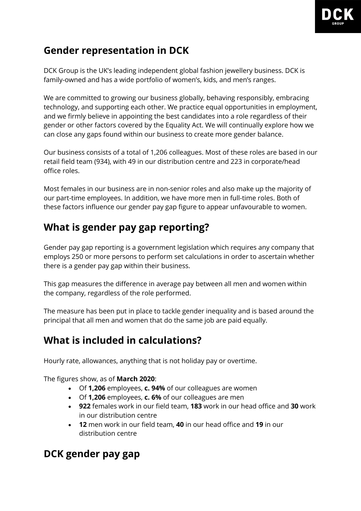

## **Gender representation in DCK**

DCK Group is the UK's leading independent global fashion jewellery business. DCK is family-owned and has a wide portfolio of women's, kids, and men's ranges.

We are committed to growing our business globally, behaving responsibly, embracing technology, and supporting each other. We practice equal opportunities in employment, and we firmly believe in appointing the best candidates into a role regardless of their gender or other factors covered by the Equality Act. We will continually explore how we can close any gaps found within our business to create more gender balance.

Our business consists of a total of 1,206 colleagues. Most of these roles are based in our retail field team (934), with 49 in our distribution centre and 223 in corporate/head office roles.

Most females in our business are in non-senior roles and also make up the majority of our part-time employees. In addition, we have more men in full-time roles. Both of these factors influence our gender pay gap figure to appear unfavourable to women.

## **What is gender pay gap reporting?**

Gender pay gap reporting is a government legislation which requires any company that employs 250 or more persons to perform set calculations in order to ascertain whether there is a gender pay gap within their business.

This gap measures the difference in average pay between all men and women within the company, regardless of the role performed.

The measure has been put in place to tackle gender inequality and is based around the principal that all men and women that do the same job are paid equally.

# **What is included in calculations?**

Hourly rate, allowances, anything that is not holiday pay or overtime.

The figures show, as of **March 2020**:

- Of **1,206** employees, **c. 94%** of our colleagues are women
- Of **1,206** employees, **c. 6%** of our colleagues are men
- **922** females work in our field team, **183** work in our head office and **30** work in our distribution centre
- **12** men work in our field team, **40** in our head office and **19** in our distribution centre

# **DCK gender pay gap**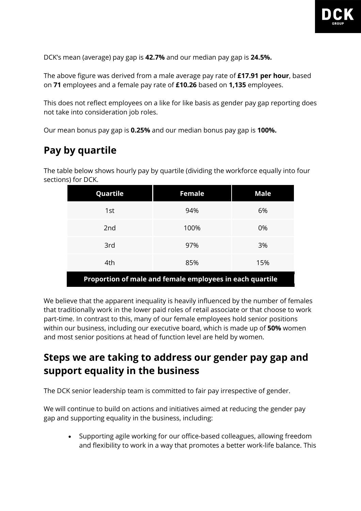

DCK's mean (average) pay gap is **42.7%** and our median pay gap is **24.5%.**

The above figure was derived from a male average pay rate of **£17.91 per hour**, based on **71** employees and a female pay rate of **£10.26** based on **1,135** employees.

This does not reflect employees on a like for like basis as gender pay gap reporting does not take into consideration job roles.

Our mean bonus pay gap is **0.25%** and our median bonus pay gap is **100%.**

### **Pay by quartile**

The table below shows hourly pay by quartile (dividing the workforce equally into four sections) for DCK.

| Quartile                                                 | <b>Female</b> | <b>Male</b> |
|----------------------------------------------------------|---------------|-------------|
| 1st                                                      | 94%           | 6%          |
| 2nd                                                      | 100%          | 0%          |
| 3rd                                                      | 97%           | 3%          |
| 4th                                                      | 85%           | 15%         |
| Proportion of male and female employees in each quartile |               |             |

We believe that the apparent inequality is heavily influenced by the number of females that traditionally work in the lower paid roles of retail associate or that choose to work part-time. In contrast to this, many of our female employees hold senior positions within our business, including our executive board, which is made up of **50%** women and most senior positions at head of function level are held by women.

### **Steps we are taking to address our gender pay gap and support equality in the business**

The DCK senior leadership team is committed to fair pay irrespective of gender.

We will continue to build on actions and initiatives aimed at reducing the gender pay gap and supporting equality in the business, including:

• Supporting agile working for our office-based colleagues, allowing freedom and flexibility to work in a way that promotes a better work-life balance. This